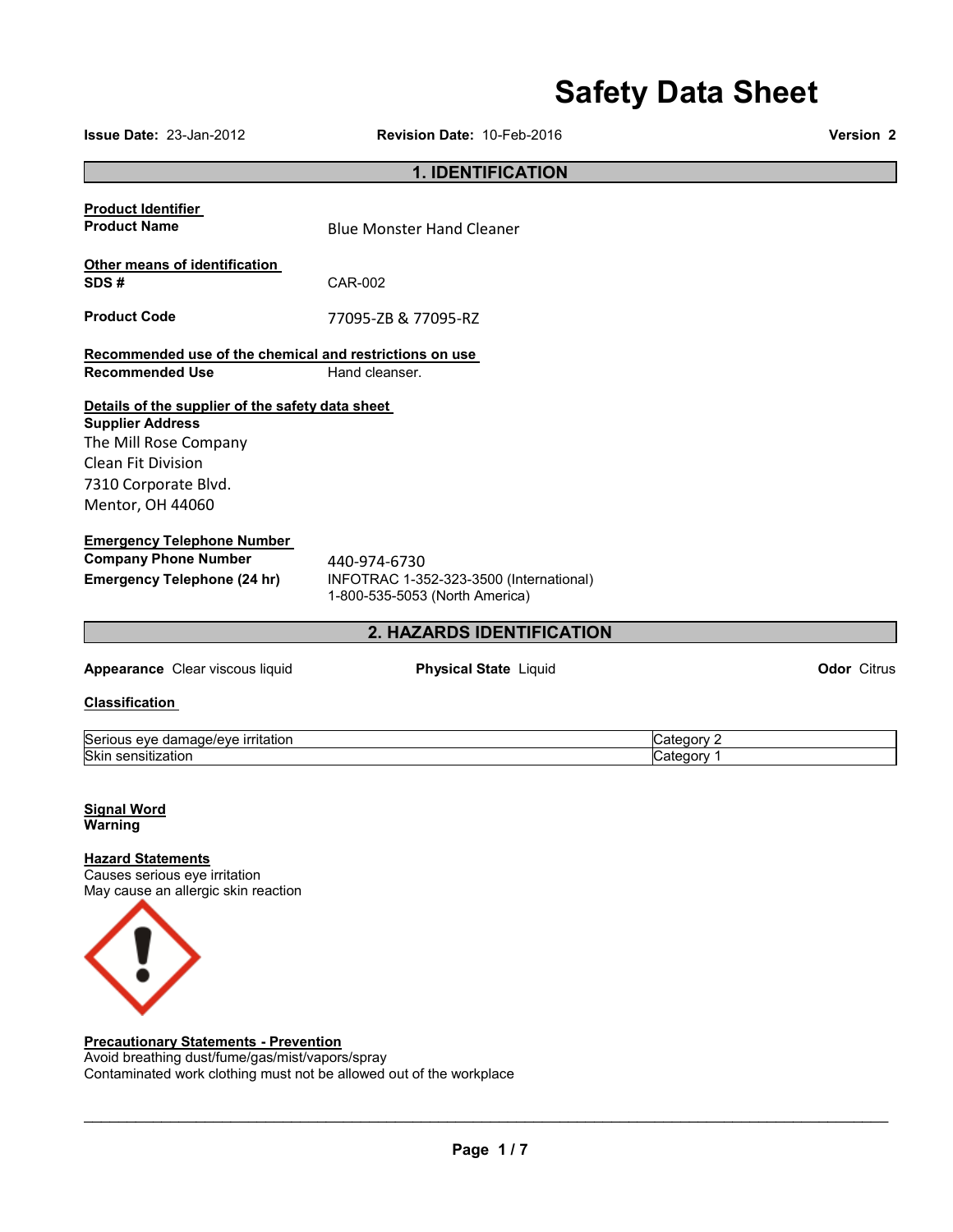# **Safety Data Sheet**

|                                                                                                                                                                        | <b>Odicty Data Officer</b>                                                                |                          |                    |
|------------------------------------------------------------------------------------------------------------------------------------------------------------------------|-------------------------------------------------------------------------------------------|--------------------------|--------------------|
| <b>Issue Date: 23-Jan-2012</b>                                                                                                                                         | Revision Date: 10-Feb-2016                                                                |                          | Version 2          |
|                                                                                                                                                                        | <b>1. IDENTIFICATION</b>                                                                  |                          |                    |
| <b>Product Identifier</b><br><b>Product Name</b>                                                                                                                       | <b>Blue Monster Hand Cleaner</b>                                                          |                          |                    |
| Other means of identification<br>SDS#                                                                                                                                  | CAR-002                                                                                   |                          |                    |
| <b>Product Code</b>                                                                                                                                                    | 77095-ZB & 77095-RZ                                                                       |                          |                    |
| Recommended use of the chemical and restrictions on use<br><b>Recommended Use</b>                                                                                      | Hand cleanser.                                                                            |                          |                    |
| Details of the supplier of the safety data sheet<br><b>Supplier Address</b><br>The Mill Rose Company<br>Clean Fit Division<br>7310 Corporate Blvd.<br>Mentor, OH 44060 |                                                                                           |                          |                    |
| <b>Emergency Telephone Number</b><br><b>Company Phone Number</b><br><b>Emergency Telephone (24 hr)</b>                                                                 | 440-974-6730<br>INFOTRAC 1-352-323-3500 (International)<br>1-800-535-5053 (North America) |                          |                    |
|                                                                                                                                                                        | 2. HAZARDS IDENTIFICATION                                                                 |                          |                    |
| Appearance Clear viscous liquid<br><b>Classification</b>                                                                                                               | <b>Physical State Liquid</b>                                                              |                          | <b>Odor</b> Citrus |
| Serious eye damage/eye irritation<br>Skin sensitization                                                                                                                |                                                                                           | Category 2<br>Category 1 |                    |
| <b>Signal Word</b><br>Warning                                                                                                                                          |                                                                                           |                          |                    |
| <b>Hazard Statements</b><br>Causes serious eye irritation<br>May cause an allergic skin reaction                                                                       |                                                                                           |                          |                    |



#### **Precautionary Statements - Prevention**

Avoid breathing dust/fume/gas/mist/vapors/spray Contaminated work clothing must not be allowed out of the workplace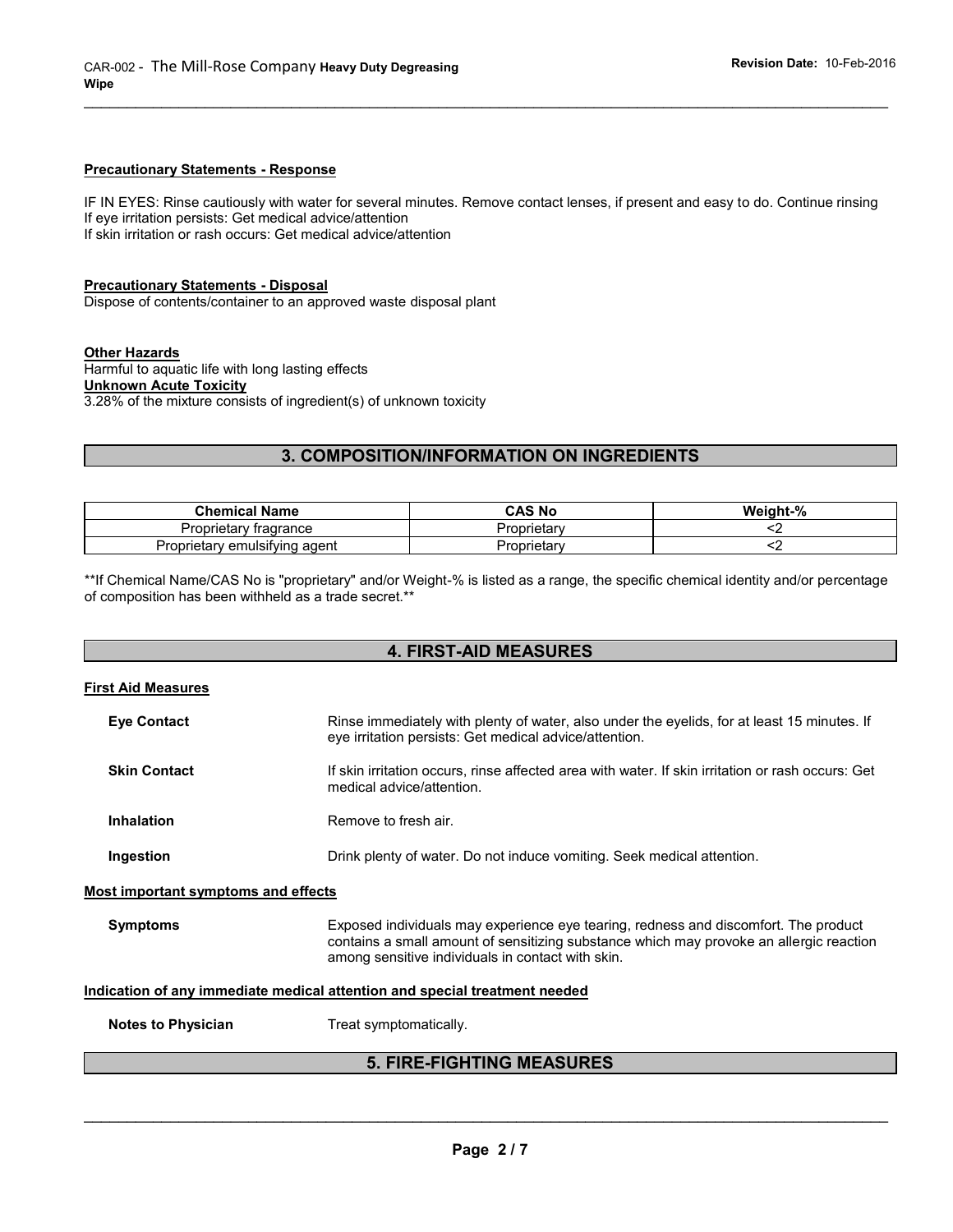#### **Precautionary Statements - Response**

IF IN EYES: Rinse cautiously with water for several minutes. Remove contact lenses, if present and easy to do. Continue rinsing If eye irritation persists: Get medical advice/attention If skin irritation or rash occurs: Get medical advice/attention

 $\_$  ,  $\_$  ,  $\_$  ,  $\_$  ,  $\_$  ,  $\_$  ,  $\_$  ,  $\_$  ,  $\_$  ,  $\_$  ,  $\_$  ,  $\_$  ,  $\_$  ,  $\_$  ,  $\_$  ,  $\_$  ,  $\_$  ,  $\_$  ,  $\_$  ,  $\_$  ,  $\_$  ,  $\_$  ,  $\_$  ,  $\_$  ,  $\_$  ,  $\_$  ,  $\_$  ,  $\_$  ,  $\_$  ,  $\_$  ,  $\_$  ,  $\_$  ,  $\_$  ,  $\_$  ,  $\_$  ,  $\_$  ,  $\_$  ,

#### **Precautionary Statements - Disposal**

Dispose of contents/container to an approved waste disposal plant

#### **Other Hazards**

Harmful to aquatic life with long lasting effects **Unknown Acute Toxicity** 3.28% of the mixture consists of ingredient(s) of unknown toxicity

# **3. COMPOSITION/INFORMATION ON INGREDIENTS**

| <b>Chemical Name</b>          | <b>CAS No</b> | Weight-% |
|-------------------------------|---------------|----------|
| Proprietary fragrance         | Proprietary   |          |
| Proprietary emulsifying agent | Proprietary   |          |

\*\*If Chemical Name/CAS No is "proprietary" and/or Weight-% is listed as a range, the specific chemical identity and/or percentage of composition has been withheld as a trade secret.\*\*

## **4. FIRST-AID MEASURES**

| <b>First Aid Measures</b>                                                  |                                                                                                                                                                                                                                     |  |
|----------------------------------------------------------------------------|-------------------------------------------------------------------------------------------------------------------------------------------------------------------------------------------------------------------------------------|--|
| <b>Eye Contact</b>                                                         | Rinse immediately with plenty of water, also under the eyelids, for at least 15 minutes. If<br>eye irritation persists: Get medical advice/attention.                                                                               |  |
| <b>Skin Contact</b>                                                        | If skin irritation occurs, rinse affected area with water. If skin irritation or rash occurs: Get<br>medical advice/attention.                                                                                                      |  |
| <b>Inhalation</b>                                                          | Remove to fresh air.                                                                                                                                                                                                                |  |
| Ingestion                                                                  | Drink plenty of water. Do not induce vomiting. Seek medical attention.                                                                                                                                                              |  |
| Most important symptoms and effects                                        |                                                                                                                                                                                                                                     |  |
| <b>Symptoms</b>                                                            | Exposed individuals may experience eye tearing, redness and discomfort. The product<br>contains a small amount of sensitizing substance which may provoke an allergic reaction<br>among sensitive individuals in contact with skin. |  |
| Indication of any immediate medical attention and special treatment needed |                                                                                                                                                                                                                                     |  |
| <b>Notes to Physician</b>                                                  | Treat symptomatically.                                                                                                                                                                                                              |  |
| <b>5. FIRE-FIGHTING MEASURES</b>                                           |                                                                                                                                                                                                                                     |  |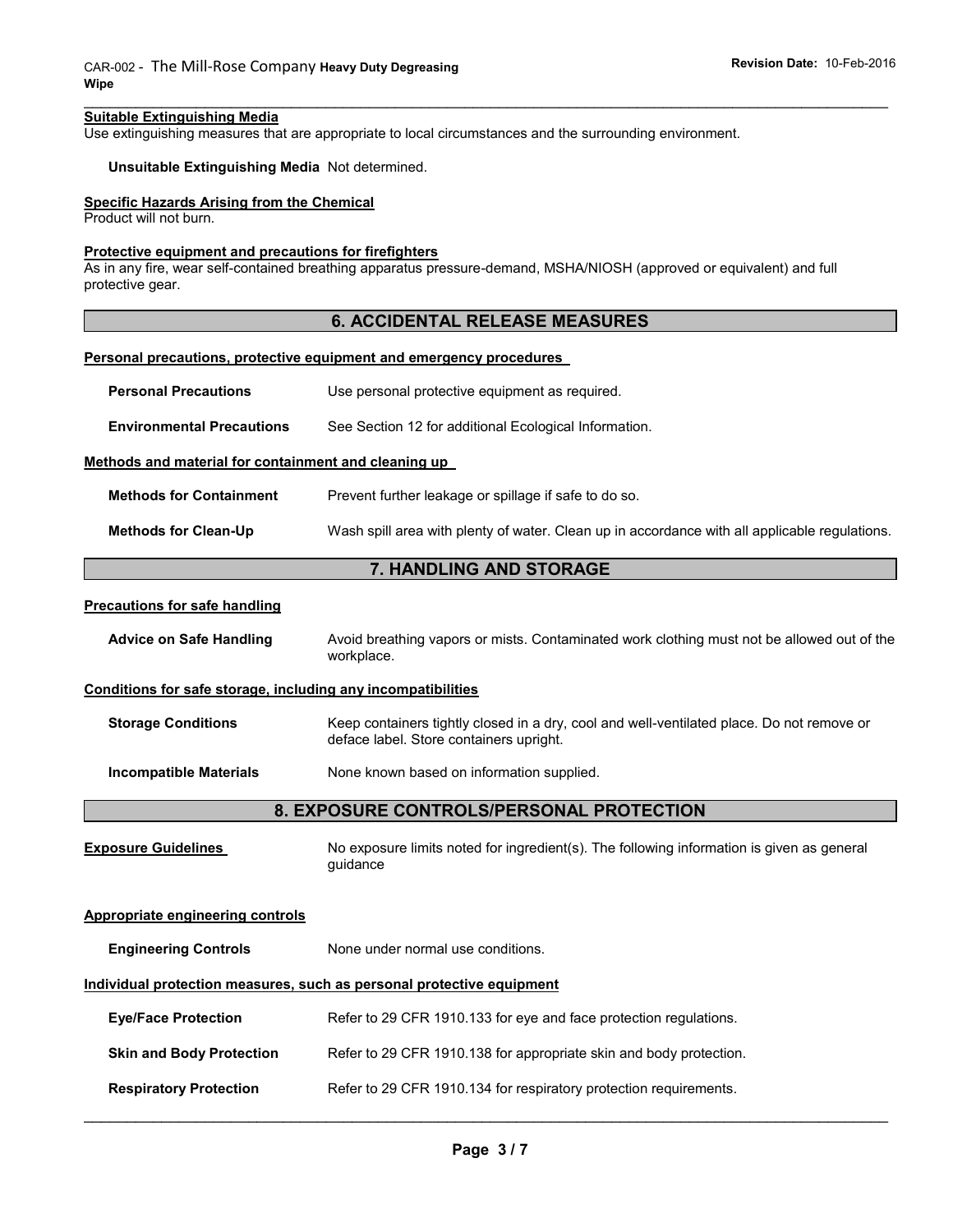#### **Suitable Extinguishing Media**

Use extinguishing measures that are appropriate to local circumstances and the surrounding environment.

#### **Unsuitable Extinguishing Media** Not determined.

#### **Specific Hazards Arising from the Chemical**

Product will not burn.

#### **Protective equipment and precautions for firefighters**

As in any fire, wear self-contained breathing apparatus pressure-demand, MSHA/NIOSH (approved or equivalent) and full protective gear.

## **6. ACCIDENTAL RELEASE MEASURES**

 $\_$  ,  $\_$  ,  $\_$  ,  $\_$  ,  $\_$  ,  $\_$  ,  $\_$  ,  $\_$  ,  $\_$  ,  $\_$  ,  $\_$  ,  $\_$  ,  $\_$  ,  $\_$  ,  $\_$  ,  $\_$  ,  $\_$  ,  $\_$  ,  $\_$  ,  $\_$  ,  $\_$  ,  $\_$  ,  $\_$  ,  $\_$  ,  $\_$  ,  $\_$  ,  $\_$  ,  $\_$  ,  $\_$  ,  $\_$  ,  $\_$  ,  $\_$  ,  $\_$  ,  $\_$  ,  $\_$  ,  $\_$  ,  $\_$  ,

#### **Personal precautions, protective equipment and emergency procedures**

| <b>Personal Precautions</b>                                  | Use personal protective equipment as required.                                                                                       |  |
|--------------------------------------------------------------|--------------------------------------------------------------------------------------------------------------------------------------|--|
| <b>Environmental Precautions</b>                             | See Section 12 for additional Ecological Information.                                                                                |  |
| Methods and material for containment and cleaning up         |                                                                                                                                      |  |
| <b>Methods for Containment</b>                               | Prevent further leakage or spillage if safe to do so.                                                                                |  |
| <b>Methods for Clean-Up</b>                                  | Wash spill area with plenty of water. Clean up in accordance with all applicable regulations.                                        |  |
|                                                              | 7. HANDLING AND STORAGE                                                                                                              |  |
| <b>Precautions for safe handling</b>                         |                                                                                                                                      |  |
| <b>Advice on Safe Handling</b>                               | Avoid breathing vapors or mists. Contaminated work clothing must not be allowed out of the<br>workplace.                             |  |
| Conditions for safe storage, including any incompatibilities |                                                                                                                                      |  |
| <b>Storage Conditions</b>                                    | Keep containers tightly closed in a dry, cool and well-ventilated place. Do not remove or<br>deface label. Store containers upright. |  |
| <b>Incompatible Materials</b>                                | None known based on information supplied.                                                                                            |  |
| 8. EXPOSURE CONTROLS/PERSONAL PROTECTION                     |                                                                                                                                      |  |
| <b>Exposure Guidelines</b>                                   | No exposure limits noted for ingredient(s). The following information is given as general<br>guidance                                |  |
| <b>Appropriate engineering controls</b>                      |                                                                                                                                      |  |
| <b>Engineering Controls</b>                                  | None under normal use conditions.                                                                                                    |  |
|                                                              | Individual protection measures, such as personal protective equipment                                                                |  |
| <b>Eye/Face Protection</b>                                   | Refer to 29 CFR 1910.133 for eye and face protection regulations.                                                                    |  |
| <b>Skin and Body Protection</b>                              | Refer to 29 CFR 1910.138 for appropriate skin and body protection.                                                                   |  |
| <b>Respiratory Protection</b>                                | Refer to 29 CFR 1910.134 for respiratory protection requirements.                                                                    |  |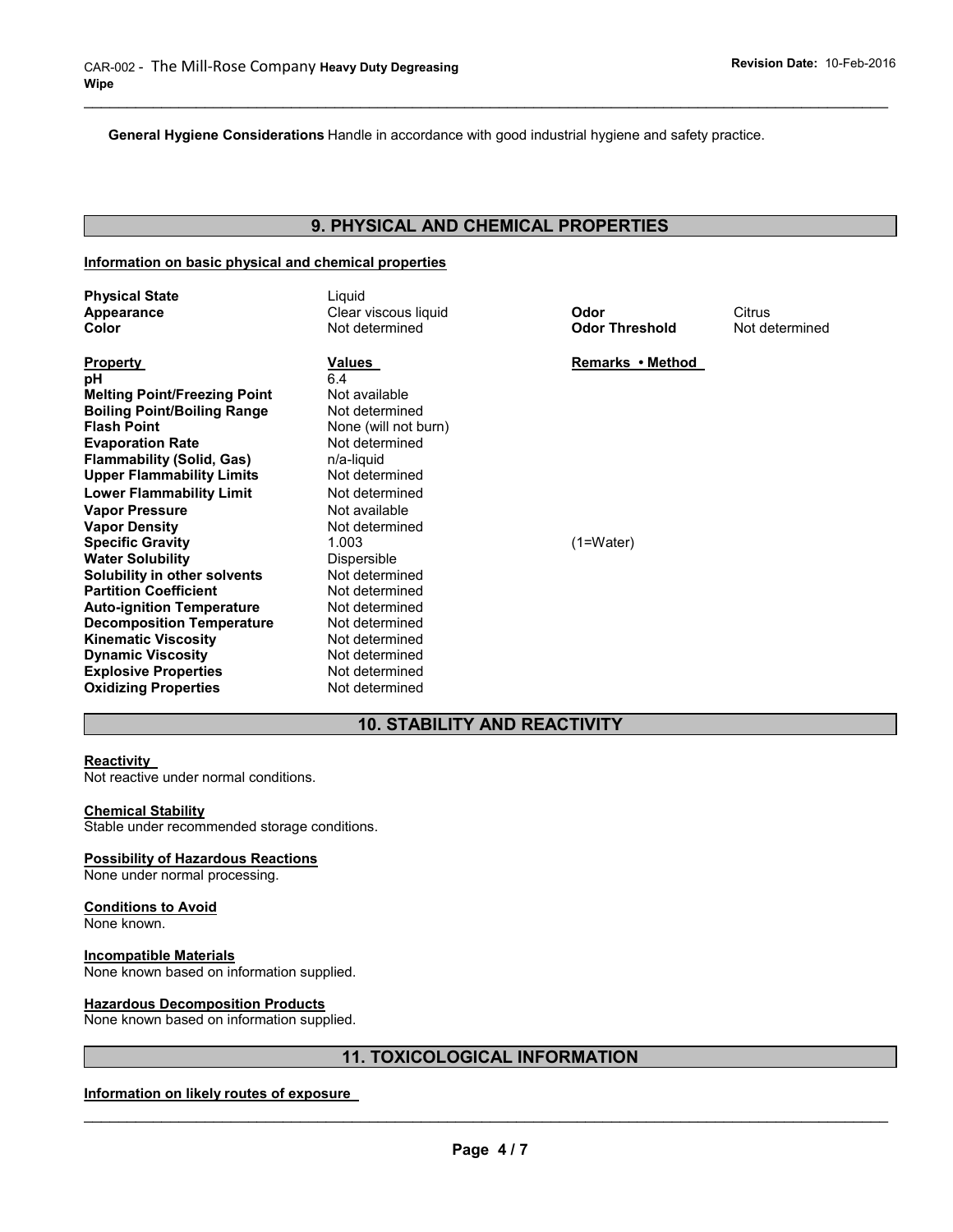**General Hygiene Considerations** Handle in accordance with good industrial hygiene and safety practice.

# **9. PHYSICAL AND CHEMICAL PROPERTIES**

 $\_$  ,  $\_$  ,  $\_$  ,  $\_$  ,  $\_$  ,  $\_$  ,  $\_$  ,  $\_$  ,  $\_$  ,  $\_$  ,  $\_$  ,  $\_$  ,  $\_$  ,  $\_$  ,  $\_$  ,  $\_$  ,  $\_$  ,  $\_$  ,  $\_$  ,  $\_$  ,  $\_$  ,  $\_$  ,  $\_$  ,  $\_$  ,  $\_$  ,  $\_$  ,  $\_$  ,  $\_$  ,  $\_$  ,  $\_$  ,  $\_$  ,  $\_$  ,  $\_$  ,  $\_$  ,  $\_$  ,  $\_$  ,  $\_$  ,

#### **Information on basic physical and chemical properties**

| <b>Physical State</b><br>Appearance<br>Color                                                                                                                                                                                                                                                                                                                        | Liquid<br>Clear viscous liquid<br>Not determined                                                                                                                                                        | Odor<br><b>Odor Threshold</b> | Citrus<br>Not determined |
|---------------------------------------------------------------------------------------------------------------------------------------------------------------------------------------------------------------------------------------------------------------------------------------------------------------------------------------------------------------------|---------------------------------------------------------------------------------------------------------------------------------------------------------------------------------------------------------|-------------------------------|--------------------------|
| <b>Property</b><br>рH<br><b>Melting Point/Freezing Point</b><br><b>Boiling Point/Boiling Range</b><br><b>Flash Point</b><br><b>Evaporation Rate</b><br><b>Flammability (Solid, Gas)</b><br><b>Upper Flammability Limits</b><br><b>Lower Flammability Limit</b>                                                                                                      | Values<br>6.4<br>Not available<br>Not determined<br>None (will not burn)<br>Not determined<br>n/a-liquid<br>Not determined<br>Not determined                                                            | Remarks • Method              |                          |
| <b>Vapor Pressure</b><br><b>Vapor Density</b><br><b>Specific Gravity</b><br><b>Water Solubility</b><br>Solubility in other solvents<br><b>Partition Coefficient</b><br><b>Auto-ignition Temperature</b><br><b>Decomposition Temperature</b><br><b>Kinematic Viscosity</b><br><b>Dynamic Viscosity</b><br><b>Explosive Properties</b><br><b>Oxidizing Properties</b> | Not available<br>Not determined<br>1.003<br>Dispersible<br>Not determined<br>Not determined<br>Not determined<br>Not determined<br>Not determined<br>Not determined<br>Not determined<br>Not determined | $(1=Water)$                   |                          |

## **10. STABILITY AND REACTIVITY**

#### **Reactivity**

Not reactive under normal conditions.

#### **Chemical Stability**

Stable under recommended storage conditions.

#### **Possibility of Hazardous Reactions**

None under normal processing.

#### **Conditions to Avoid**

None known.

#### **Incompatible Materials**

None known based on information supplied.

#### **Hazardous Decomposition Products**

None known based on information supplied.

# **11. TOXICOLOGICAL INFORMATION**

#### **Information on likely routes of exposure**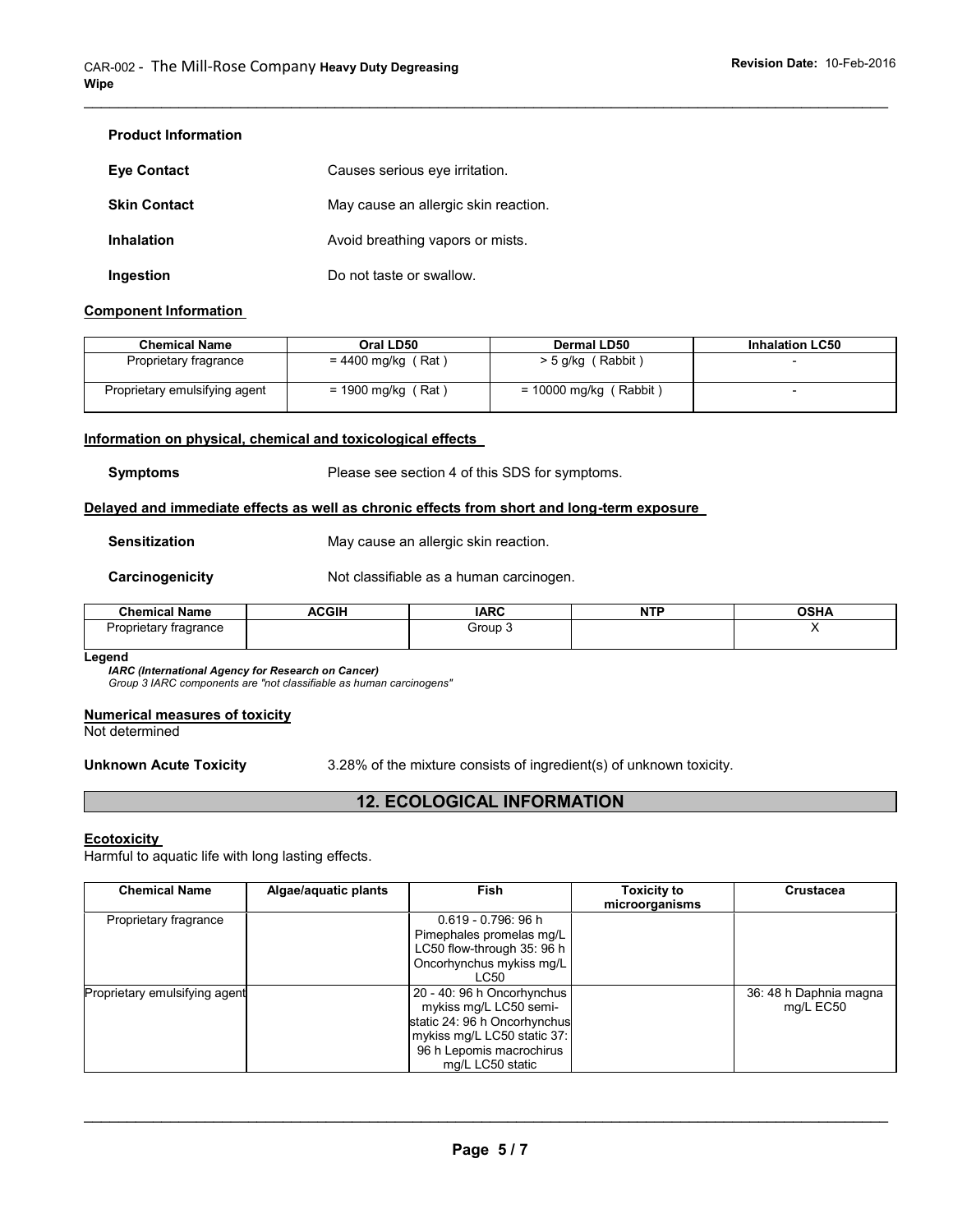## **Product Information**

| <b>Eve Contact</b>  | Causes serious eye irritation.       |
|---------------------|--------------------------------------|
| <b>Skin Contact</b> | May cause an allergic skin reaction. |
| Inhalation          | Avoid breathing vapors or mists.     |
| Ingestion           | Do not taste or swallow.             |

#### **Component Information**

| <b>Chemical Name</b>          | Oral LD50            | <b>Dermal LD50</b>       | <b>Inhalation LC50</b> |
|-------------------------------|----------------------|--------------------------|------------------------|
| Proprietary fragrance         | $= 4400$ mg/kg (Rat) | $>$ 5 g/kg (Rabbit)      |                        |
| Proprietary emulsifying agent | = 1900 mg/kg (Rat)   | $= 10000$ mg/kg (Rabbit) | -                      |

 $\_$  ,  $\_$  ,  $\_$  ,  $\_$  ,  $\_$  ,  $\_$  ,  $\_$  ,  $\_$  ,  $\_$  ,  $\_$  ,  $\_$  ,  $\_$  ,  $\_$  ,  $\_$  ,  $\_$  ,  $\_$  ,  $\_$  ,  $\_$  ,  $\_$  ,  $\_$  ,  $\_$  ,  $\_$  ,  $\_$  ,  $\_$  ,  $\_$  ,  $\_$  ,  $\_$  ,  $\_$  ,  $\_$  ,  $\_$  ,  $\_$  ,  $\_$  ,  $\_$  ,  $\_$  ,  $\_$  ,  $\_$  ,  $\_$  ,

#### **Information on physical, chemical and toxicological effects**

**Symptoms** Please see section 4 of this SDS for symptoms.

#### **Delayed and immediate effects as well as chronic effects from short and long-term exposure**

**Sensitization May cause an allergic skin reaction.** 

**Carcinogenicity Not classifiable as a human carcinogen.** 

| <b>Chemical Name</b>             | <b>ACGIH</b> | <b>IARC</b> | <b>NTF</b><br>. | <b>OSHA</b> |
|----------------------------------|--------------|-------------|-----------------|-------------|
| Proprietary fragrance<br>$\cdot$ |              | Group 3     |                 |             |
|                                  |              |             |                 |             |

#### **Legend**

*IARC (International Agency for Research on Cancer)*

*Group 3 IARC components are "not classifiable as human carcinogens"* 

#### **Numerical measures of toxicity**

Not determined

**Unknown Acute Toxicity** 3.28% of the mixture consists of ingredient(s) of unknown toxicity.

# **12. ECOLOGICAL INFORMATION**

#### **Ecotoxicity**

Harmful to aquatic life with long lasting effects.

| <b>Chemical Name</b>          | Algae/aquatic plants | Fish                                                                                                                                                                | <b>Toxicity to</b><br>microorganisms | <b>Crustacea</b>                    |
|-------------------------------|----------------------|---------------------------------------------------------------------------------------------------------------------------------------------------------------------|--------------------------------------|-------------------------------------|
| Proprietary fragrance         |                      | $0.619 - 0.796$ : 96 h<br>Pimephales promelas mg/L<br>LC50 flow-through 35: 96 h<br>Oncorhynchus mykiss mg/L<br>LC50                                                |                                      |                                     |
| Proprietary emulsifying agent |                      | 20 - 40: 96 h Oncorhynchus<br>mykiss mg/L LC50 semi-<br>static 24: 96 h Oncorhynchus<br>mykiss mg/L LC50 static 37:<br>96 h Lepomis macrochirus<br>mg/L LC50 static |                                      | 36: 48 h Daphnia magna<br>mg/L EC50 |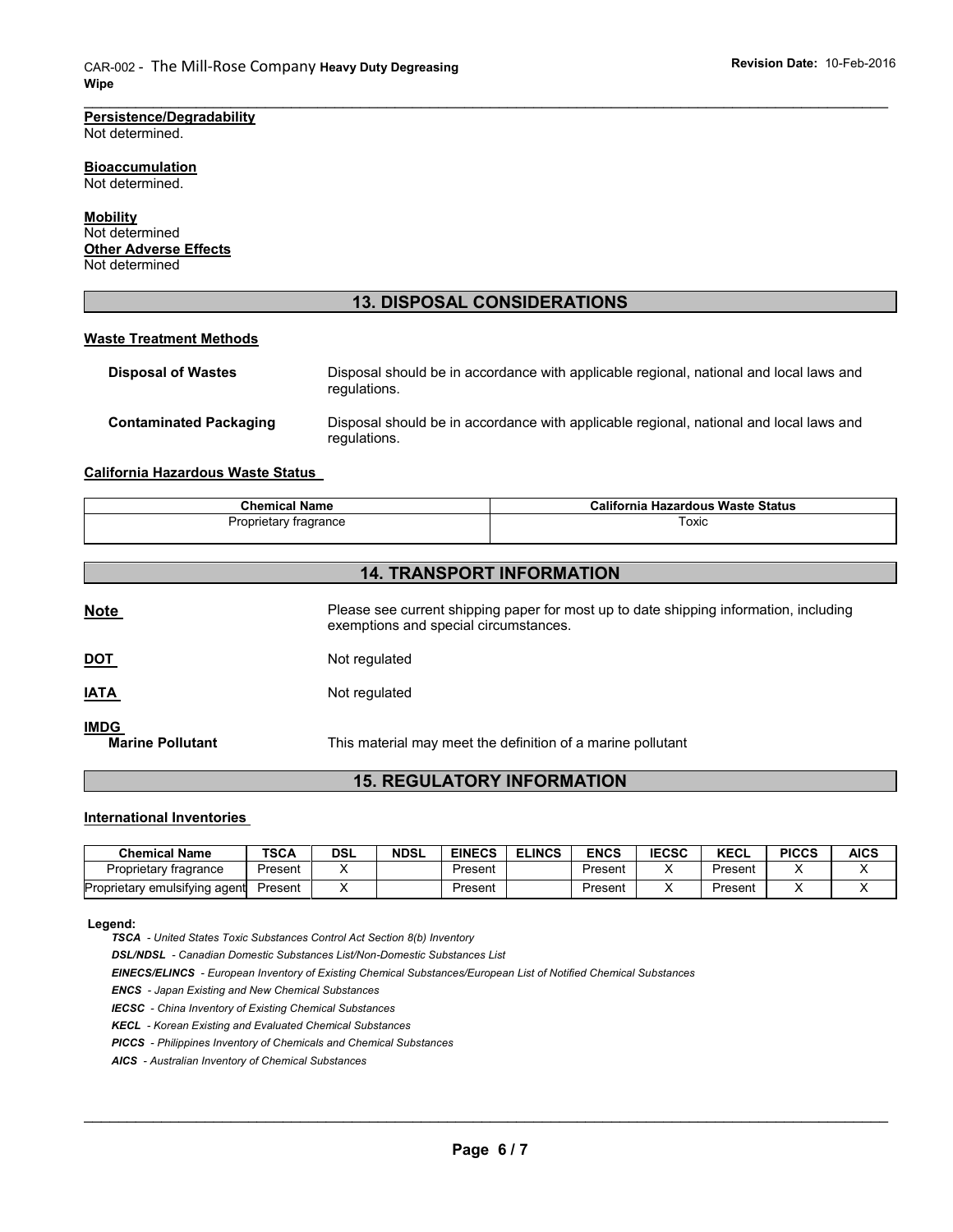#### **Persistence/Degradability** Not determined.

**Bioaccumulation** Not determined.

**Mobility** Not determined **Other Adverse Effects** Not determined

# **13. DISPOSAL CONSIDERATIONS**

 $\_$  ,  $\_$  ,  $\_$  ,  $\_$  ,  $\_$  ,  $\_$  ,  $\_$  ,  $\_$  ,  $\_$  ,  $\_$  ,  $\_$  ,  $\_$  ,  $\_$  ,  $\_$  ,  $\_$  ,  $\_$  ,  $\_$  ,  $\_$  ,  $\_$  ,  $\_$  ,  $\_$  ,  $\_$  ,  $\_$  ,  $\_$  ,  $\_$  ,  $\_$  ,  $\_$  ,  $\_$  ,  $\_$  ,  $\_$  ,  $\_$  ,  $\_$  ,  $\_$  ,  $\_$  ,  $\_$  ,  $\_$  ,  $\_$  ,

#### **Waste Treatment Methods**

| <b>Disposal of Wastes</b>     | Disposal should be in accordance with applicable regional, national and local laws and<br>regulations. |
|-------------------------------|--------------------------------------------------------------------------------------------------------|
| <b>Contaminated Packaging</b> | Disposal should be in accordance with applicable regional, national and local laws and<br>regulations. |

### **California Hazardous Waste Status**

| <b>Chemical Name</b>  | California Hazardous Waste Status |
|-----------------------|-----------------------------------|
| Proprietary fragrance | Toxic                             |

# **14. TRANSPORT INFORMATION**

| <b>IMDG</b><br><b>Marine Pollutant</b> | This material may meet the definition of a marine pollutant                                                                    |
|----------------------------------------|--------------------------------------------------------------------------------------------------------------------------------|
| <b>IATA</b>                            | Not regulated                                                                                                                  |
| <b>DOT</b>                             | Not regulated                                                                                                                  |
| <b>Note</b>                            | Please see current shipping paper for most up to date shipping information, including<br>exemptions and special circumstances. |
|                                        |                                                                                                                                |

## **15. REGULATORY INFORMATION**

#### **International Inventories**

| <b>Chemical Name</b>          | <b>TSCA</b> | <b>DSL</b> | <b>NDSL</b> | <b>EINECS</b> | <b>ELINCS</b> | <b>ENCS</b> | <b>IECSC</b> | <b>KECL</b> | <b>PICCS</b> | <b>AICS</b> |
|-------------------------------|-------------|------------|-------------|---------------|---------------|-------------|--------------|-------------|--------------|-------------|
| Proprietary fragrance         | Present     |            |             | Present       |               | Present     |              | Present     |              |             |
| Proprietary emulsifying agent | Present     |            |             | Present       |               | Present     |              | Present     |              |             |

#### **Legend:**

*TSCA - United States Toxic Substances Control Act Section 8(b) Inventory* 

*DSL/NDSL - Canadian Domestic Substances List/Non-Domestic Substances List* 

*EINECS/ELINCS - European Inventory of Existing Chemical Substances/European List of Notified Chemical Substances* 

*ENCS - Japan Existing and New Chemical Substances* 

*IECSC - China Inventory of Existing Chemical Substances* 

*KECL - Korean Existing and Evaluated Chemical Substances* 

*PICCS - Philippines Inventory of Chemicals and Chemical Substances* 

*AICS - Australian Inventory of Chemical Substances*